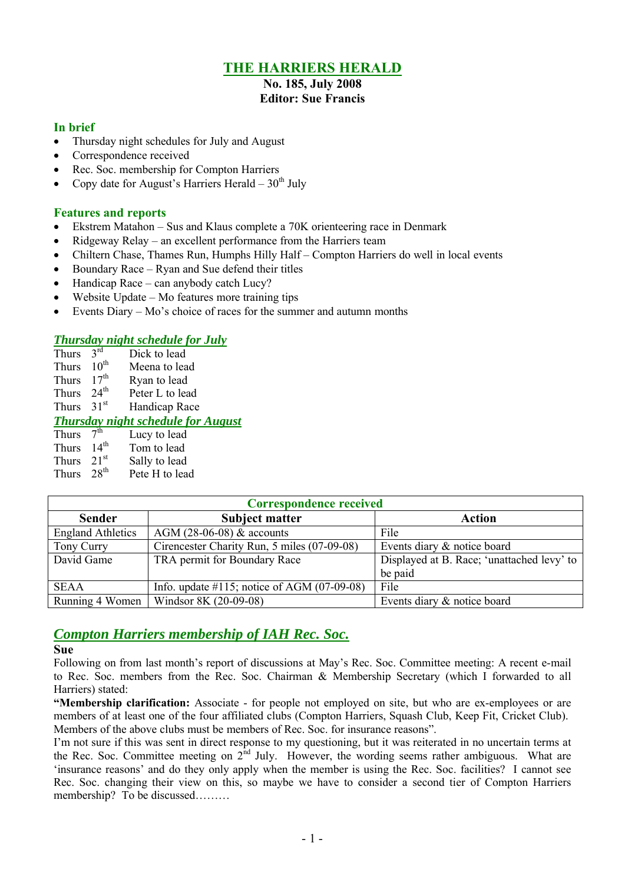# **THE HARRIERS HERALD**

# **No. 185, July 2008**

# **Editor: Sue Francis**

## **In brief**

- Thursday night schedules for July and August
- Correspondence received
- Rec. Soc. membership for Compton Harriers
- Copy date for August's Harriers Herald  $30<sup>th</sup>$  July

# **Features and reports**

- Ekstrem Matahon Sus and Klaus complete a 70K orienteering race in Denmark
- Ridgeway Relay an excellent performance from the Harriers team
- Chiltern Chase, Thames Run, Humphs Hilly Half Compton Harriers do well in local events
- $\bullet$  Boundary Race Ryan and Sue defend their titles
- Handicap Race can anybody catch Lucy?
- Website Update Mo features more training tips
- Events Diary Mo's choice of races for the summer and autumn months

# *Thursday night schedule for July*

- Thurs  $3<sup>rd</sup>$ <br>Thurs  $10<sup>th</sup>$ Dick to lead
- Meena to lead
- Thurs  $17^{th}$  Ryan to lead<br>Thurs  $24^{th}$  Peter L to lea
- Peter L to lead
- Thurs  $31<sup>st</sup>$  Handicap Race

## *Thursday night schedule for August*

Thurs  $7<sup>th</sup>$ Lucy to lead

- Thurs  $14<sup>th</sup>$  Tom to lead
- Thurs  $21^{st}$  Sally to lead<br>Thurs  $28^{th}$  Pete H to lea
- Pete H to lead

| <b>Correspondence received</b> |                                                 |                                            |  |  |  |  |  |  |
|--------------------------------|-------------------------------------------------|--------------------------------------------|--|--|--|--|--|--|
| <b>Sender</b>                  | <b>Subject matter</b>                           | <b>Action</b>                              |  |  |  |  |  |  |
| <b>England Athletics</b>       | AGM (28-06-08) $&$ accounts                     | File                                       |  |  |  |  |  |  |
| Tony Curry                     | Cirencester Charity Run, 5 miles (07-09-08)     | Events diary & notice board                |  |  |  |  |  |  |
| David Game                     | TRA permit for Boundary Race                    | Displayed at B. Race; 'unattached levy' to |  |  |  |  |  |  |
|                                |                                                 | be paid                                    |  |  |  |  |  |  |
| <b>SEAA</b>                    | Info. update $\#115$ ; notice of AGM (07-09-08) | File                                       |  |  |  |  |  |  |
| Running 4 Women                | Windsor 8K (20-09-08)                           | Events diary & notice board                |  |  |  |  |  |  |

# *Compton Harriers membership of IAH Rec. Soc.*

## **Sue**

Following on from last month's report of discussions at May's Rec. Soc. Committee meeting: A recent e-mail to Rec. Soc. members from the Rec. Soc. Chairman & Membership Secretary (which I forwarded to all Harriers) stated:

**"Membership clarification:** Associate - for people not employed on site, but who are ex-employees or are members of at least one of the four affiliated clubs (Compton Harriers, Squash Club, Keep Fit, Cricket Club). Members of the above clubs must be members of Rec. Soc. for insurance reasons".

I'm not sure if this was sent in direct response to my questioning, but it was reiterated in no uncertain terms at the Rec. Soc. Committee meeting on  $2^{\text{nd}}$  July. However, the wording seems rather ambiguous. What are 'insurance reasons' and do they only apply when the member is using the Rec. Soc. facilities? I cannot see Rec. Soc. changing their view on this, so maybe we have to consider a second tier of Compton Harriers membership? To be discussed………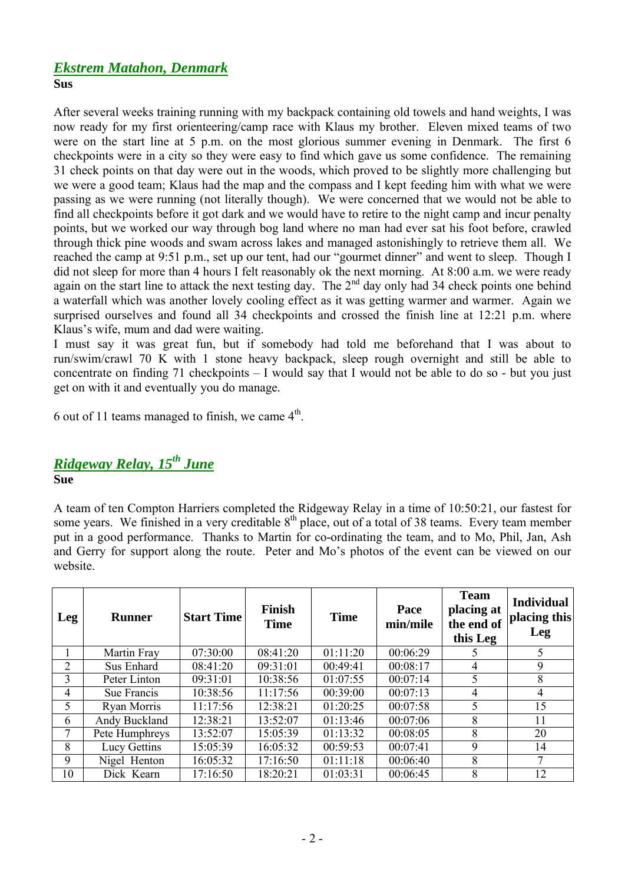# *Ekstrem Matahon, Denmark* **Sus**

After several weeks training running with my backpack containing old towels and hand weights, I was now ready for my first orienteering/camp race with Klaus my brother. Eleven mixed teams of two were on the start line at 5 p.m. on the most glorious summer evening in Denmark. The first 6 checkpoints were in a city so they were easy to find which gave us some confidence. The remaining 31 check points on that day were out in the woods, which proved to be slightly more challenging but we were a good team; Klaus had the map and the compass and I kept feeding him with what we were passing as we were running (not literally though). We were concerned that we would not be able to find all checkpoints before it got dark and we would have to retire to the night camp and incur penalty points, but we worked our way through bog land where no man had ever sat his foot before, crawled through thick pine woods and swam across lakes and managed astonishingly to retrieve them all. We reached the camp at 9:51 p.m., set up our tent, had our "gourmet dinner" and went to sleep. Though I did not sleep for more than 4 hours I felt reasonably ok the next morning. At 8:00 a.m. we were ready again on the start line to attack the next testing day. The  $2<sup>nd</sup>$  day only had 34 check points one behind a waterfall which was another lovely cooling effect as it was getting warmer and warmer. Again we surprised ourselves and found all 34 checkpoints and crossed the finish line at 12:21 p.m. where Klaus's wife, mum and dad were waiting.

I must say it was great fun, but if somebody had told me beforehand that I was about to run/swim/crawl 70 K with 1 stone heavy backpack, sleep rough overnight and still be able to concentrate on finding 71 checkpoints – I would say that I would not be able to do so - but you just get on with it and eventually you do manage.

6 out of 11 teams managed to finish, we came  $4<sup>th</sup>$ .

# *Ridgeway Relay, 15th June*

**Sue**

A team of ten Compton Harriers completed the Ridgeway Relay in a time of 10:50:21, our fastest for some years. We finished in a very creditable 8<sup>th</sup> place, out of a total of 38 teams. Every team member put in a good performance. Thanks to Martin for co-ordinating the team, and to Mo, Phil, Jan, Ash and Gerry for support along the route. Peter and Mo's photos of the event can be viewed on our website.

| Leg | <b>Runner</b>  | <b>Start Time</b> | <b>Finish</b><br><b>Time</b> | <b>Time</b> | Pace<br>min/mile | <b>Team</b><br>placing at<br>the end of<br>this Leg | <b>Individual</b><br>placing this<br>Leg |
|-----|----------------|-------------------|------------------------------|-------------|------------------|-----------------------------------------------------|------------------------------------------|
|     | Martin Fray    | 07:30:00          | 08:41:20                     | 01:11:20    | 00:06:29         |                                                     | 5                                        |
| 2   | Sus Enhard     | 08:41:20          | 09:31:01                     | 00:49:41    | 00:08:17         | 4                                                   | 9                                        |
| 3   | Peter Linton   | 09:31:01          | 10:38:56                     | 01:07:55    | 00:07:14         | 5                                                   | 8                                        |
| 4   | Sue Francis    | 10:38:56          | 11:17:56                     | 00:39:00    | 00:07:13         | 4                                                   | 4                                        |
| 5   | Ryan Morris    | 11:17:56          | 12:38:21                     | 01:20:25    | 00:07:58         | 5                                                   | 15                                       |
| 6   | Andy Buckland  | 12:38:21          | 13:52:07                     | 01:13:46    | 00:07:06         | 8                                                   | 11                                       |
| 7   | Pete Humphreys | 13:52:07          | 15:05:39                     | 01:13:32    | 00:08:05         | 8                                                   | 20                                       |
| 8   | Lucy Gettins   | 15:05:39          | 16:05:32                     | 00:59:53    | 00:07:41         | 9                                                   | 14                                       |
| 9   | Nigel Henton   | 16:05:32          | 17:16:50                     | 01:11:18    | 00:06:40         | 8                                                   | 7                                        |
| 10  | Dick Kearn     | 17:16:50          | 18:20:21                     | 01:03:31    | 00:06:45         | 8                                                   | 12                                       |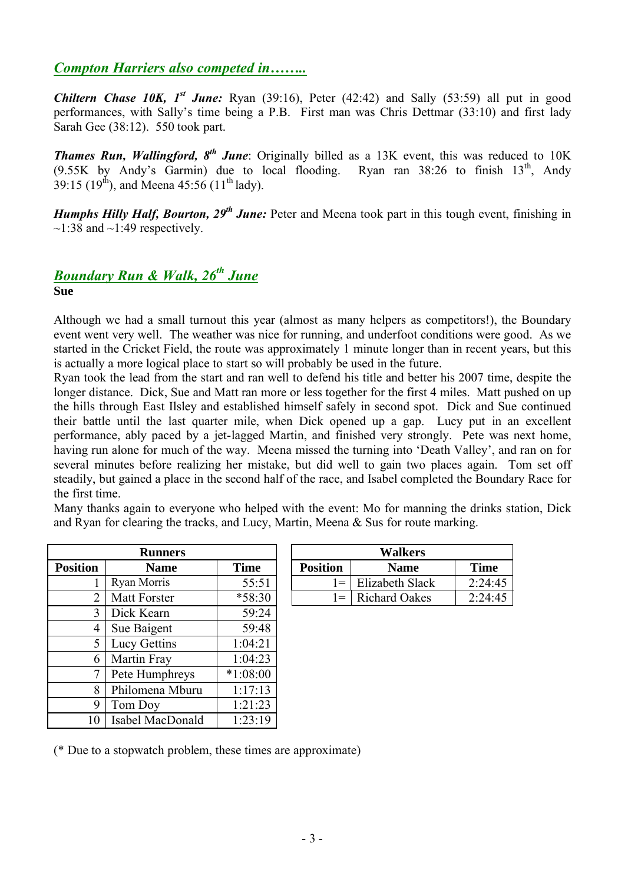# *Compton Harriers also competed in……..*

**Chiltern Chase 10K,**  $I^{st}$  **June:** Ryan (39:16), Peter (42:42) and Sally (53:59) all put in good performances, with Sally's time being a P.B. First man was Chris Dettmar (33:10) and first lady Sarah Gee (38:12). 550 took part.

**Thames Run, Wallingford, 8<sup>th</sup> June**: Originally billed as a 13K event, this was reduced to 10K  $(9.55K)$  by Andy's Garmin) due to local flooding. Ryan ran 38:26 to finish  $13<sup>th</sup>$ , Andy 39:15 (19<sup>th</sup>), and Meena 45:56 (11<sup>th</sup> lady).

*Humphs Hilly Half, Bourton, 29th June:* Peter and Meena took part in this tough event, finishing in  $\sim$ 1:38 and  $\sim$ 1:49 respectively.

# *Boundary Run & Walk, 26th June*

**Sue**

Although we had a small turnout this year (almost as many helpers as competitors!), the Boundary event went very well. The weather was nice for running, and underfoot conditions were good. As we started in the Cricket Field, the route was approximately 1 minute longer than in recent years, but this is actually a more logical place to start so will probably be used in the future.

Ryan took the lead from the start and ran well to defend his title and better his 2007 time, despite the longer distance. Dick, Sue and Matt ran more or less together for the first 4 miles. Matt pushed on up the hills through East Ilsley and established himself safely in second spot. Dick and Sue continued their battle until the last quarter mile, when Dick opened up a gap. Lucy put in an excellent performance, ably paced by a jet-lagged Martin, and finished very strongly. Pete was next home, having run alone for much of the way. Meena missed the turning into 'Death Valley', and ran on for several minutes before realizing her mistake, but did well to gain two places again. Tom set off steadily, but gained a place in the second half of the race, and Isabel completed the Boundary Race for the first time.

Many thanks again to everyone who helped with the event: Mo for manning the drinks station, Dick and Ryan for clearing the tracks, and Lucy, Martin, Meena  $\&$  Sus for route marking.

|                 | <b>Runners</b>      |             |                 | <b>Walkers</b>       |             |
|-----------------|---------------------|-------------|-----------------|----------------------|-------------|
| <b>Position</b> | <b>Name</b>         | <b>Time</b> | <b>Position</b> | <b>Name</b>          | <b>Time</b> |
| 1               | Ryan Morris         | 55:51       | $l =$           | Elizabeth Slack      | 2:24:4      |
| 2               | <b>Matt Forster</b> | $*58:30$    | $=$             | <b>Richard Oakes</b> | 2:24:4      |
| 3               | Dick Kearn          | 59:24       |                 |                      |             |
| 4               | Sue Baigent         | 59:48       |                 |                      |             |
| 5               | Lucy Gettins        | 1:04:21     |                 |                      |             |
| 6               | Martin Fray         | 1:04:23     |                 |                      |             |
| 7               | Pete Humphreys      | $*1:08:00$  |                 |                      |             |
| 8               | Philomena Mburu     | 1:17:13     |                 |                      |             |
| 9               | Tom Doy             | 1:21:23     |                 |                      |             |
| 10              | Isabel MacDonald    | 1:23:19     |                 |                      |             |

|   | <b>Runners</b> |             | <b>Walkers</b>     |                      |             |  |  |
|---|----------------|-------------|--------------------|----------------------|-------------|--|--|
|   | Name           | <b>Time</b> | <b>Position</b>    | <b>Name</b>          | <b>Time</b> |  |  |
|   | Ryan Morris    | 55:51       | $=$                | Elizabeth Slack      | 2:24:45     |  |  |
| ⌒ | Matt Forster   | $*58:30$    | $=$ $\overline{ }$ | <b>Richard Oakes</b> | 2:24:45     |  |  |

(\* Due to a stopwatch problem, these times are approximate)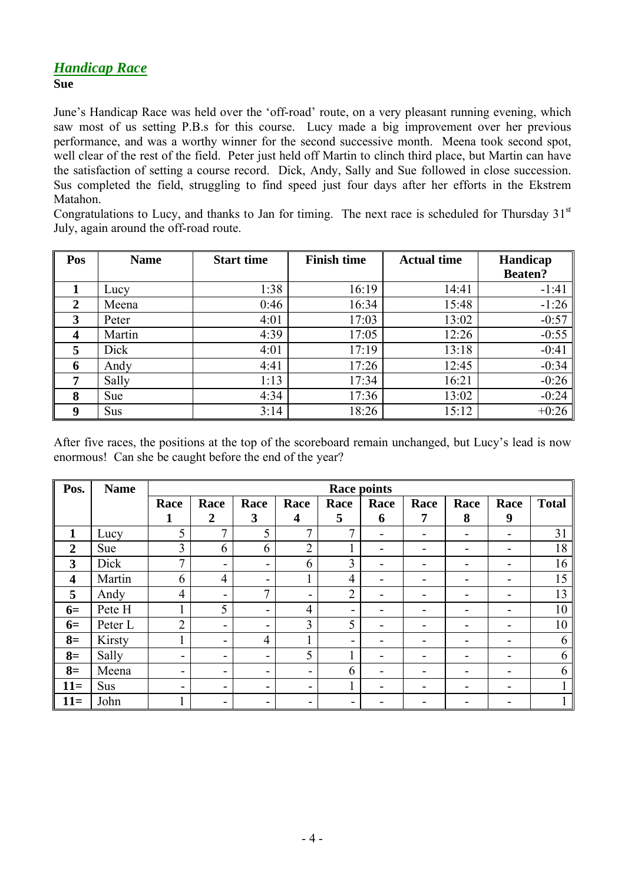## *Handicap Race* **Sue**

June's Handicap Race was held over the 'off-road' route, on a very pleasant running evening, which saw most of us setting P.B.s for this course. Lucy made a big improvement over her previous performance, and was a worthy winner for the second successive month. Meena took second spot, well clear of the rest of the field. Peter just held off Martin to clinch third place, but Martin can have the satisfaction of setting a course record. Dick, Andy, Sally and Sue followed in close succession. Sus completed the field, struggling to find speed just four days after her efforts in the Ekstrem Matahon.

Congratulations to Lucy, and thanks to Jan for timing. The next race is scheduled for Thursday  $31<sup>st</sup>$ July, again around the off-road route.

| Pos              | <b>Name</b> | <b>Start time</b> | <b>Finish time</b> | <b>Actual time</b> | Handicap       |
|------------------|-------------|-------------------|--------------------|--------------------|----------------|
|                  |             |                   |                    |                    | <b>Beaten?</b> |
|                  | Lucy        | 1:38              | 16:19              | 14:41              | $-1:41$        |
| $\overline{2}$   | Meena       | 0:46              | 16:34              | 15:48              | $-1:26$        |
| 3                | Peter       | 4:01              | 17:03              | 13:02              | $-0:57$        |
| $\boldsymbol{4}$ | Martin      | 4:39              | 17:05              | 12:26              | $-0:55$        |
| 5                | Dick        | 4:01              | 17:19              | 13:18              | $-0:41$        |
| 6                | Andy        | 4:41              | 17:26              | 12:45              | $-0:34$        |
| 7                | Sally       | 1:13              | 17:34              | 16:21              | $-0:26$        |
| 8                | Sue         | 4:34              | 17:36              | 13:02              | $-0:24$        |
| 9                | <b>Sus</b>  | 3:14              | 18:26              | 15:12              | $+0:26$        |

After five races, the positions at the top of the scoreboard remain unchanged, but Lucy's lead is now enormous! Can she be caught before the end of the year?

| Pos.             | <b>Name</b> | <b>Race points</b>       |                              |                |                         |                |                          |      |                              |                          |              |
|------------------|-------------|--------------------------|------------------------------|----------------|-------------------------|----------------|--------------------------|------|------------------------------|--------------------------|--------------|
|                  |             | Race                     | Race                         | Race           | Race                    | Race           | Race                     | Race | Race                         | Race                     | <b>Total</b> |
|                  |             | 1                        | $\overline{2}$               | 3              | $\overline{\mathbf{4}}$ | 5              | 6                        | 7    | 8                            | 9                        |              |
| $\mathbf{1}$     | Lucy        | 5                        | $\mathbf{r}$                 | 5              | 7                       | 7              | $\blacksquare$           |      | $\blacksquare$               | $\blacksquare$           | 31           |
| $\overline{2}$   | Sue         | 3                        | 6                            | 6              | $\overline{2}$          |                | -                        | -    | $\qquad \qquad \blacksquare$ | -                        | 18           |
| 3                | Dick        | $\mathcal{I}$            | $\qquad \qquad \blacksquare$ | -              | 6                       | 3              |                          |      | -                            | -                        | 16           |
| $\boldsymbol{4}$ | Martin      | 6                        | 4                            | -              |                         | 4              | $\overline{\phantom{0}}$ | -    | -                            | -                        | 15           |
| 5                | Andy        | 4                        | $\overline{\phantom{0}}$     | 7              |                         | $\overline{2}$ |                          |      | -                            | -                        | 13           |
| $6=$             | Pete H      |                          | 5                            | -              | $\overline{4}$          | -              | ۰                        |      | -                            | -                        | 10           |
| $6=$             | Peter L     | $\overline{2}$           | -                            | -              | 3                       | 5              |                          |      | -                            | -                        | 10           |
| $8=$             | Kirsty      |                          | $\overline{\phantom{0}}$     | $\overline{4}$ |                         |                |                          |      |                              |                          | 6            |
| $8=$             | Sally       | $\overline{\phantom{a}}$ | -                            | -              | 5                       |                |                          |      | -                            | -                        | 6            |
| $8=$             | Meena       | $\overline{\phantom{a}}$ | $\overline{\phantom{a}}$     | -              | Ξ.                      | 6              | $\overline{\phantom{0}}$ |      | -                            | -                        | 6            |
| $11=$            | Sus         | $\overline{\phantom{0}}$ | $\blacksquare$               | -              | -                       |                | $\overline{\phantom{0}}$ |      | $\blacksquare$               | $\overline{\phantom{0}}$ |              |
| $11=$            | John        |                          | $\overline{\phantom{a}}$     |                |                         |                |                          |      |                              |                          |              |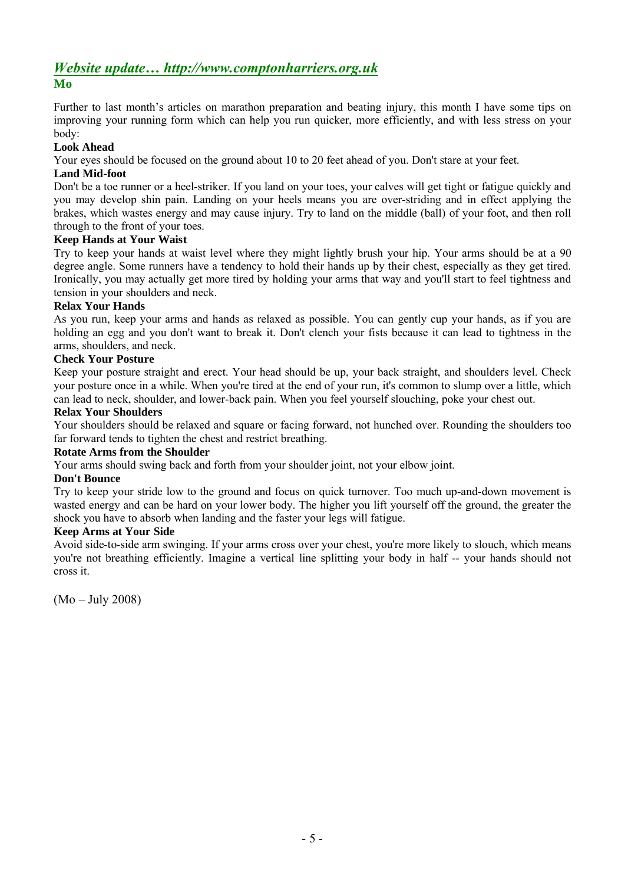# *Website update… http://www.comptonharriers.org.uk* **Mo**

Further to last month's articles on marathon preparation and beating injury, this month I have some tips on improving your running form which can help you run quicker, more efficiently, and with less stress on your body:

## **Look Ahead**

Your eyes should be focused on the ground about 10 to 20 feet ahead of you. Don't stare at your feet.

### **Land Mid-foot**

Don't be a toe runner or a heel-striker. If you land on your toes, your calves will get tight or fatigue quickly and you may develop shin pain. Landing on your heels means you are over-striding and in effect applying the brakes, which wastes energy and may cause injury. Try to land on the middle (ball) of your foot, and then roll through to the front of your toes.

### **Keep Hands at Your Waist**

Try to keep your hands at waist level where they might lightly brush your hip. Your arms should be at a 90 degree angle. Some runners have a tendency to hold their hands up by their chest, especially as they get tired. Ironically, you may actually get more tired by holding your arms that way and you'll start to feel tightness and tension in your shoulders and neck.

### **Relax Your Hands**

As you run, keep your arms and hands as relaxed as possible. You can gently cup your hands, as if you are holding an egg and you don't want to break it. Don't clench your fists because it can lead to tightness in the arms, shoulders, and neck.

### **Check Your Posture**

Keep your posture straight and erect. Your head should be up, your back straight, and shoulders level. Check your posture once in a while. When you're tired at the end of your run, it's common to slump over a little, which can lead to neck, shoulder, and lower-back pain. When you feel yourself slouching, poke your chest out.

### **Relax Your Shoulders**

Your shoulders should be relaxed and square or facing forward, not hunched over. Rounding the shoulders too far forward tends to tighten the chest and restrict breathing.

#### **Rotate Arms from the Shoulder**

Your arms should swing back and forth from your shoulder joint, not your elbow joint.

#### **Don't Bounce**

Try to keep your stride low to the ground and focus on quick turnover. Too much up-and-down movement is wasted energy and can be hard on your lower body. The higher you lift yourself off the ground, the greater the shock you have to absorb when landing and the faster your legs will fatigue.

#### **Keep Arms at Your Side**

Avoid side-to-side arm swinging. If your arms cross over your chest, you're more likely to slouch, which means you're not breathing efficiently. Imagine a vertical line splitting your body in half -- your hands should not cross it.

(Mo – July 2008)